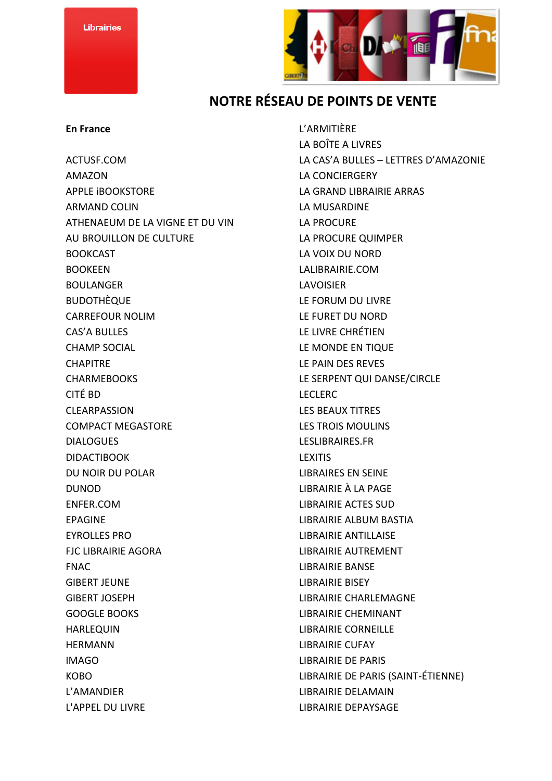

## **NOTRE RÉSEAU DE POINTS DE VENTE**

## **En France**

ACTUSF.COM AMAZON APPLE iBOOKSTORE ARMAND COLIN ATHENAEUM DE LA VIGNE ET DU VIN AU BROUILLON DE CULTURE BOOKCAST BOOKEEN BOULANGER BUDOTHÈQUE CARREFOUR NOLIM CAS'A BULLES CHAMP SOCIAL **CHAPITRE** CHARMEBOOKS CITÉ BD CLEARPASSION COMPACT MEGASTORE DIALOGUES DIDACTIBOOK DU NOIR DU POLAR DUNOD ENFER.COM EPAGINE EYROLLES PRO FJC LIBRAIRIE AGORA FNAC GIBERT JEUNE GIBERT JOSEPH GOOGLE BOOKS HARLEQUIN HERMANN IMAGO KOBO L'AMANDIER L'APPEL DU LIVRE

L'ARMITIÈRE LA BOÎTE A LIVRES LA CAS'A BULLES – LETTRES D'AMAZONIE LA CONCIERGERY LA GRAND LIBRAIRIE ARRAS LA MUSARDINE LA PROCURE LA PROCURE QUIMPER LA VOIX DU NORD LALIBRAIRIE.COM LAVOISIER LE FORUM DU LIVRE LE FURET DU NORD LE LIVRE CHRÉTIEN LE MONDE EN TIQUE LE PAIN DES REVES LE SERPENT QUI DANSE/CIRCLE LECLERC LES BEAUX TITRES LES TROIS MOULINS LESLIBRAIRES.FR LEXITIS LIBRAIRES EN SEINE LIBRAIRIE À LA PAGE LIBRAIRIE ACTES SUD LIBRAIRIE ALBUM BASTIA LIBRAIRIE ANTILLAISE LIBRAIRIE AUTREMENT LIBRAIRIE BANSE LIBRAIRIE BISEY LIBRAIRIE CHARLEMAGNE LIBRAIRIE CHEMINANT LIBRAIRIE CORNEILLE LIBRAIRIE CUFAY LIBRAIRIE DE PARIS LIBRAIRIE DE PARIS (SAINT-ÉTIENNE) LIBRAIRIE DELAMAIN LIBRAIRIE DEPAYSAGE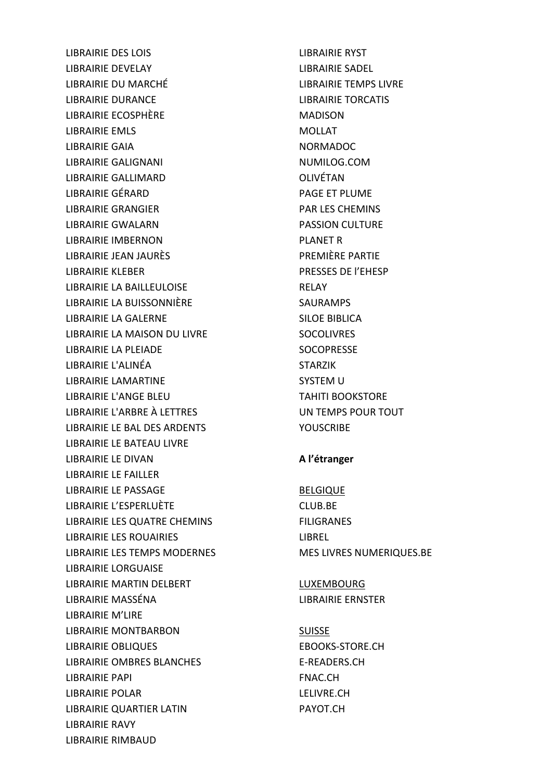LIBRAIRIE DES LOIS LIBRAIRIE DEVELAY LIBRAIRIE DU MARCHÉ LIBRAIRIE DURANCE LIBRAIRIE ECOSPHÈRE LIBRAIRIE EMLS LIBRAIRIE GAIA LIBRAIRIE GALIGNANI LIBRAIRIE GALLIMARD LIBRAIRIE GÉRARD LIBRAIRIE GRANGIER LIBRAIRIE GWALARN LIBRAIRIE IMBERNON LIBRAIRIE JEAN JAURÈS LIBRAIRIE KLEBER LIBRAIRIE LA BAILLEULOISE LIBRAIRIE LA BUISSONNIÈRE LIBRAIRIE LA GALERNE LIBRAIRIE LA MAISON DU LIVRE LIBRAIRIE LA PLEIADE LIBRAIRIE L'ALINÉA LIBRAIRIE LAMARTINE LIBRAIRIE L'ANGE BLEU LIBRAIRIE L'ARBRE À LETTRES LIBRAIRIE LE BAL DES ARDENTS LIBRAIRIE LE BATEAU LIVRE LIBRAIRIE LE DIVAN LIBRAIRIE LE FAILLER LIBRAIRIE LE PASSAGE LIBRAIRIE L'ESPERLUÈTE LIBRAIRIE LES QUATRE CHEMINS LIBRAIRIE LES ROUAIRIES LIBRAIRIE LES TEMPS MODERNES LIBRAIRIE LORGUAISE LIBRAIRIE MARTIN DELBERT LIBRAIRIE MASSÉNA LIBRAIRIE M'LIRE LIBRAIRIE MONTBARBON LIBRAIRIE OBLIQUES LIBRAIRIE OMBRES BLANCHES LIBRAIRIE PAPI LIBRAIRIE POLAR LIBRAIRIE QUARTIER LATIN LIBRAIRIE RAVY LIBRAIRIE RIMBAUD

LIBRAIRIE RYST LIBRAIRIE SADEL LIBRAIRIE TEMPS LIVRE LIBRAIRIE TORCATIS MADISON MOLLAT NORMADOC NUMILOG.COM OLIVÉTAN PAGE ET PLUME PAR LES CHEMINS PASSION CULTURE PLANET R PREMIÈRE PARTIE PRESSES DE l'EHESP RELAY SAURAMPS SILOE BIBLICA SOCOLIVRES SOCOPRESSE STARZIK SYSTEM U TAHITI BOOKSTORE UN TEMPS POUR TOUT **YOUSCRIBE A l'étranger** 

BELGIQUE CLUB.BE FILIGRANES LIBREL MES LIVRES NUMERIQUES.BE

LUXEMBOURG LIBRAIRIE ERNSTER

SUISSE EBOOKS-STORE.CH E-READERS.CH FNAC.CH LELIVRE.CH PAYOT.CH